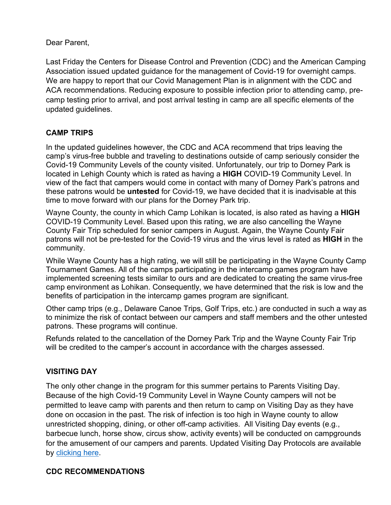Dear Parent,

Last Friday the Centers for Disease Control and Prevention (CDC) and the American Camping Association issued updated guidance for the management of Covid-19 for overnight camps. We are happy to report that our Covid Management Plan is in alignment with the CDC and ACA recommendations. Reducing exposure to possible infection prior to attending camp, precamp testing prior to arrival, and post arrival testing in camp are all specific elements of the updated guidelines.

# **CAMP TRIPS**

In the updated guidelines however, the CDC and ACA recommend that trips leaving the camp's virus-free bubble and traveling to destinations outside of camp seriously consider the Covid-19 Community Levels of the county visited. Unfortunately, our trip to Dorney Park is located in Lehigh County which is rated as having a **HIGH** COVID-19 Community Level. In view of the fact that campers would come in contact with many of Dorney Park's patrons and these patrons would be **untested** for Covid-19, we have decided that it is inadvisable at this time to move forward with our plans for the Dorney Park trip.

Wayne County, the county in which Camp Lohikan is located, is also rated as having a **HIGH** COVID-19 Community Level. Based upon this rating, we are also cancelling the Wayne County Fair Trip scheduled for senior campers in August. Again, the Wayne County Fair patrons will not be pre-tested for the Covid-19 virus and the virus level is rated as **HIGH** in the community.

While Wayne County has a high rating, we will still be participating in the Wayne County Camp Tournament Games. All of the camps participating in the intercamp games program have implemented screening tests similar to ours and are dedicated to creating the same virus-free camp environment as Lohikan. Consequently, we have determined that the risk is low and the benefits of participation in the intercamp games program are significant.

Other camp trips (e.g., Delaware Canoe Trips, Golf Trips, etc.) are conducted in such a way as to minimize the risk of contact between our campers and staff members and the other untested patrons. These programs will continue.

Refunds related to the cancellation of the Dorney Park Trip and the Wayne County Fair Trip will be credited to the camper's account in accordance with the charges assessed.

# **VISITING DAY**

The only other change in the program for this summer pertains to Parents Visiting Day. Because of the high Covid-19 Community Level in Wayne County campers will not be permitted to leave camp with parents and then return to camp on Visiting Day as they have done on occasion in the past. The risk of infection is too high in Wayne county to allow unrestricted shopping, dining, or other off-camp activities. All Visiting Day events (e.g., barbecue lunch, horse show, circus show, activity events) will be conducted on campgrounds for the amusement of our campers and parents. Updated Visiting Day Protocols are available by [clicking here.](https://www.lohikan.com/PDFS/cv_vday.pdf)

#### **CDC RECOMMENDATIONS**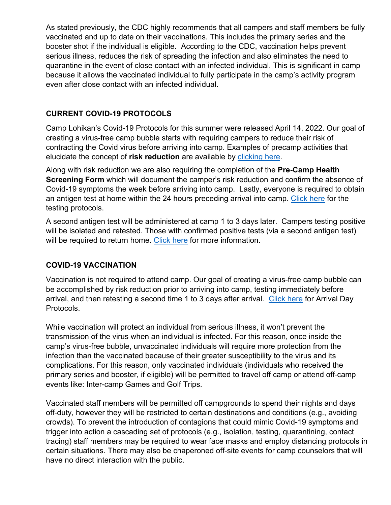As stated previously, the CDC highly recommends that all campers and staff members be fully vaccinated and up to date on their vaccinations. This includes the primary series and the booster shot if the individual is eligible. According to the CDC, vaccination helps prevent serious illness, reduces the risk of spreading the infection and also eliminates the need to quarantine in the event of close contact with an infected individual. This is significant in camp because it allows the vaccinated individual to fully participate in the camp's activity program even after close contact with an infected individual.

#### **CURRENT COVID-19 PROTOCOLS**

Camp Lohikan's Covid-19 Protocols for this summer were released April 14, 2022. Our goal of creating a virus-free camp bubble starts with requiring campers to reduce their risk of contracting the Covid virus before arriving into camp. Examples of precamp activities that elucidate the concept of **risk reduction** are available by [clicking here.](https://www.lohikan.com/PDFS/self-quaran.pdf)

Along with risk reduction we are also requiring the completion of the **Pre-Camp Health Screening Form** which will document the camper's risk reduction and confirm the absence of Covid-19 symptoms the week before arriving into camp. Lastly, everyone is required to obtain an antigen test at home within the 24 hours preceding arrival into camp. [Click here](https://www.lohikan.com/PDFS/testing22.pdf) for the testing protocols.

A second antigen test will be administered at camp 1 to 3 days later. Campers testing positive will be isolated and retested. Those with confirmed positive tests (via a second antigen test) will be required to return home. [Click here](https://www.lohikan.com/PDFS/cv_posres.pdf) for more information.

# **COVID-19 VACCINATION**

Vaccination is not required to attend camp. Our goal of creating a virus-free camp bubble can be accomplished by risk reduction prior to arriving into camp, testing immediately before arrival, and then retesting a second time 1 to 3 days after arrival. [Click here](https://www.lohikan.com/PDFS/arrival22.pdf) for Arrival Day Protocols.

While vaccination will protect an individual from serious illness, it won't prevent the transmission of the virus when an individual is infected. For this reason, once inside the camp's virus-free bubble, unvaccinated individuals will require more protection from the infection than the vaccinated because of their greater susceptibility to the virus and its complications. For this reason, only vaccinated individuals (individuals who received the primary series and booster, if eligible) will be permitted to travel off camp or attend off-camp events like: Inter-camp Games and Golf Trips.

Vaccinated staff members will be permitted off campgrounds to spend their nights and days off-duty, however they will be restricted to certain destinations and conditions (e.g., avoiding crowds). To prevent the introduction of contagions that could mimic Covid-19 symptoms and trigger into action a cascading set of protocols (e.g., isolation, testing, quarantining, contact tracing) staff members may be required to wear face masks and employ distancing protocols in certain situations. There may also be chaperoned off-site events for camp counselors that will have no direct interaction with the public.